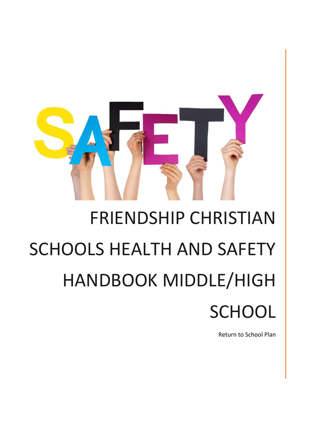

# FRIENDSHIP CHRISTIAN SCHOOLS HEALTH AND SAFETY HANDBOOK MIDDLE/HIGH **SCHOOL**

Return to School Plan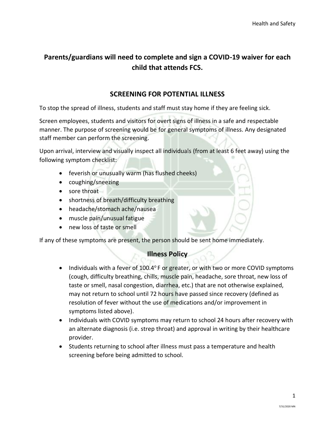## **Parents/guardians will need to complete and sign a COVID-19 waiver for each child that attends FCS.**

## **SCREENING FOR POTENTIAL ILLNESS**

To stop the spread of illness, students and staff must stay home if they are feeling sick.

Screen employees, students and visitors for overt signs of illness in a safe and respectable manner. The purpose of screening would be for general symptoms of illness. Any designated staff member can perform the screening.

Upon arrival, interview and visually inspect all individuals (from at least 6 feet away) using the following symptom checklist:

- feverish or unusually warm (has flushed cheeks)
- coughing/sneezing
- sore throat
- shortness of breath/difficulty breathing
- headache/stomach ache/nausea
- muscle pain/unusual fatigue
- new loss of taste or smell

If any of these symptoms are present, the person should be sent home immediately.

#### **Illness Policy**

- Individuals with a fever of  $100.4^\circ$  F or greater, or with two or more COVID symptoms (cough, difficulty breathing, chills, muscle pain, headache, sore throat, new loss of taste or smell, nasal congestion, diarrhea, etc.) that are not otherwise explained, may not return to school until 72 hours have passed since recovery (defined as resolution of fever without the use of medications and/or improvement in symptoms listed above).
- Individuals with COVID symptoms may return to school 24 hours after recovery with an alternate diagnosis (i.e. strep throat) and approval in writing by their healthcare provider.
- Students returning to school after illness must pass a temperature and health screening before being admitted to school.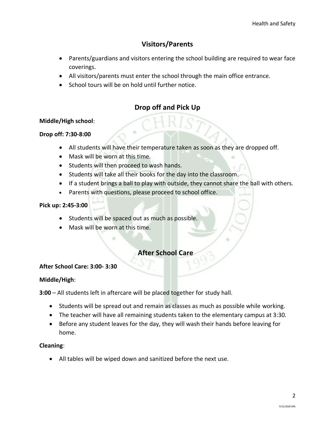## **Visitors/Parents**

- Parents/guardians and visitors entering the school building are required to wear face coverings.
- All visitors/parents must enter the school through the main office entrance.
- School tours will be on hold until further notice.

## **Drop off and Pick Up**

#### **Middle/High school**:

## **Drop off: 7:30-8:00**

- All students will have their temperature taken as soon as they are dropped off.
- Mask will be worn at this time.
- Students will then proceed to wash hands.
- Students will take all their books for the day into the classroom.
- If a student brings a ball to play with outside, they cannot share the ball with others.
- Parents with questions, please proceed to school office.

## **Pick up: 2:45-3:00**

- Students will be spaced out as much as possible.
- Mask will be worn at this time.

## **After School Care**

#### **After School Care: 3:00- 3:30**

#### **Middle/High**:

**3:00** – All students left in aftercare will be placed together for study hall.

- Students will be spread out and remain as classes as much as possible while working.
- The teacher will have all remaining students taken to the elementary campus at 3:30.
- Before any student leaves for the day, they will wash their hands before leaving for home.

#### **Cleaning**:

• All tables will be wiped down and sanitized before the next use.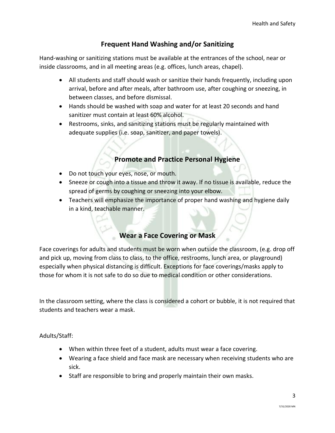## **Frequent Hand Washing and/or Sanitizing**

Hand-washing or sanitizing stations must be available at the entrances of the school, near or inside classrooms, and in all meeting areas (e.g. offices, lunch areas, chapel).

- All students and staff should wash or sanitize their hands frequently, including upon arrival, before and after meals, after bathroom use, after coughing or sneezing, in between classes, and before dismissal.
- Hands should be washed with soap and water for at least 20 seconds and hand sanitizer must contain at least 60% alcohol.
- Restrooms, sinks, and sanitizing stations must be regularly maintained with adequate supplies (i.e. soap, sanitizer, and paper towels).

## **Promote and Practice Personal Hygiene**

- Do not touch your eyes, nose, or mouth.
- Sneeze or cough into a tissue and throw it away. If no tissue is available, reduce the spread of germs by coughing or sneezing into your elbow.
- Teachers will emphasize the importance of proper hand washing and hygiene daily in a kind, teachable manner.

## **Wear a Face Covering or Mask**

Face coverings for adults and students must be worn when outside the classroom, (e.g. drop off and pick up, moving from class to class, to the office, restrooms, lunch area, or playground) especially when physical distancing is difficult. Exceptions for face coverings/masks apply to those for whom it is not safe to do so due to medical condition or other considerations.

In the classroom setting, where the class is considered a cohort or bubble, it is not required that students and teachers wear a mask.

Adults/Staff:

- When within three feet of a student, adults must wear a face covering.
- Wearing a face shield and face mask are necessary when receiving students who are sick.
- Staff are responsible to bring and properly maintain their own masks.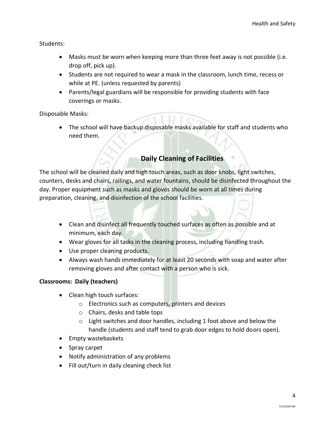Students:

- Masks must be worn when keeping more than three feet away is not possible (i.e. drop off, pick up).
- Students are not required to wear a mask in the classroom, lunch time, recess or while at PE. (unless requested by parents)
- Parents/legal guardians will be responsible for providing students with face coverings or masks.

Disposable Masks:

• The school will have backup disposable masks available for staff and students who need them.

## **Daily Cleaning of Facilities**

The school will be cleaned daily and high touch areas, such as door knobs, light switches, counters, desks and chairs, railings, and water fountains, should be disinfected throughout the day. Proper equipment such as masks and gloves should be worn at all times during preparation, cleaning, and disinfection of the school facilities.

- Clean and disinfect all frequently touched surfaces as often as possible and at minimum, each day.
- Wear gloves for all tasks in the cleaning process, including handling trash.
- Use proper cleaning products.
- Always wash hands immediately for at least 20 seconds with soap and water after removing gloves and after contact with a person who is sick.

## **Classrooms: Daily (teachers)**

- Clean high touch surfaces:
	- o Electronics such as computers, printers and devices
	- o Chairs, desks and table tops
	- o Light switches and door handles, including 1 foot above and below the handle (students and staff tend to grab door edges to hold doors open).
- Empty wastebaskets
- Spray carpet
- Notify administration of any problems
- Fill out/turn in daily cleaning check list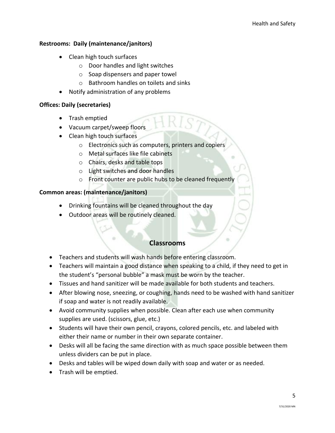## **Restrooms: Daily (maintenance/janitors)**

- Clean high touch surfaces
	- o Door handles and light switches
	- o Soap dispensers and paper towel
	- o Bathroom handles on toilets and sinks
- Notify administration of any problems

#### **Offices: Daily (secretaries)**

- Trash emptied
- Vacuum carpet/sweep floors
- Clean high touch surfaces
	- o Electronics such as computers, printers and copiers
	- o Metal surfaces like file cabinets
	- o Chairs, desks and table tops
	- o Light switches and door handles
	- o Front counter are public hubs to be cleaned frequently

#### **Common areas: (maintenance/janitors)**

- Drinking fountains will be cleaned throughout the day
- Outdoor areas will be routinely cleaned.

## **Classrooms**

- Teachers and students will wash hands before entering classroom.
- Teachers will maintain a good distance when speaking to a child, if they need to get in the student's "personal bubble" a mask must be worn by the teacher.
- Tissues and hand sanitizer will be made available for both students and teachers.
- After blowing nose, sneezing, or coughing, hands need to be washed with hand sanitizer if soap and water is not readily available.
- Avoid community supplies when possible. Clean after each use when community supplies are used. (scissors, glue, etc.)
- Students will have their own pencil, crayons, colored pencils, etc. and labeled with either their name or number in their own separate container.
- Desks will all be facing the same direction with as much space possible between them unless dividers can be put in place.
- Desks and tables will be wiped down daily with soap and water or as needed.
- Trash will be emptied.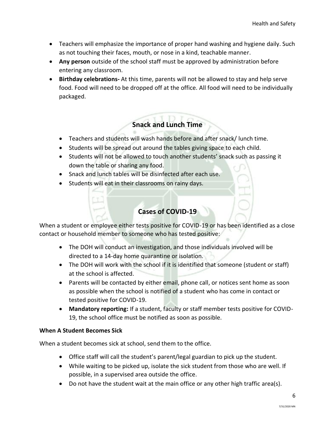- Teachers will emphasize the importance of proper hand washing and hygiene daily. Such as not touching their faces, mouth, or nose in a kind, teachable manner.
- **Any person** outside of the school staff must be approved by administration before entering any classroom.
- **Birthday celebrations-** At this time, parents will not be allowed to stay and help serve food. Food will need to be dropped off at the office. All food will need to be individually packaged.

## **Snack and Lunch Time**

- Teachers and students will wash hands before and after snack/ lunch time.
- Students will be spread out around the tables giving space to each child.
- Students will not be allowed to touch another students' snack such as passing it down the table or sharing any food.
- Snack and lunch tables will be disinfected after each use.
- Students will eat in their classrooms on rainy days.

## **Cases of COVID-19**

When a student or employee either tests positive for COVID-19 or has been identified as a close contact or household member to someone who has tested positive:

- The DOH will conduct an investigation, and those individuals involved will be directed to a 14-day home quarantine or isolation.
- The DOH will work with the school if it is identified that someone (student or staff) at the school is affected.
- Parents will be contacted by either email, phone call, or notices sent home as soon as possible when the school is notified of a student who has come in contact or tested positive for COVID-19.
- **Mandatory reporting:** If a student, faculty or staff member tests positive for COVID-19, the school office must be notified as soon as possible.

## **When A Student Becomes Sick**

When a student becomes sick at school, send them to the office.

- Office staff will call the student's parent/legal guardian to pick up the student.
- While waiting to be picked up, isolate the sick student from those who are well. If possible, in a supervised area outside the office.
- Do not have the student wait at the main office or any other high traffic area(s).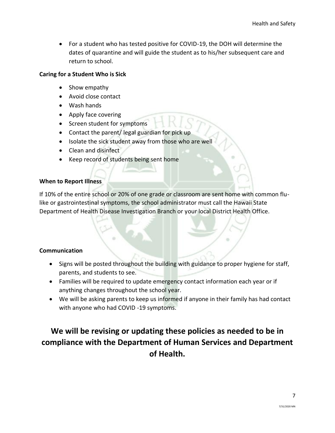• For a student who has tested positive for COVID-19, the DOH will determine the dates of quarantine and will guide the student as to his/her subsequent care and return to school.

## **Caring for a Student Who is Sick**

- Show empathy
- Avoid close contact
- Wash hands
- Apply face covering
- Screen student for symptoms
- Contact the parent/ legal guardian for pick up
- Isolate the sick student away from those who are well
- Clean and disinfect
- Keep record of students being sent home

#### **When to Report Illness**

If 10% of the entire school or 20% of one grade or classroom are sent home with common flulike or gastrointestinal symptoms, the school administrator must call the Hawaii State Department of Health Disease Investigation Branch or your local District Health Office.

#### **Communication**

- Signs will be posted throughout the building with guidance to proper hygiene for staff, parents, and students to see.
- Families will be required to update emergency contact information each year or if anything changes throughout the school year.
- We will be asking parents to keep us informed if anyone in their family has had contact with anyone who had COVID -19 symptoms.

## **We will be revising or updating these policies as needed to be in compliance with the Department of Human Services and Department of Health.**